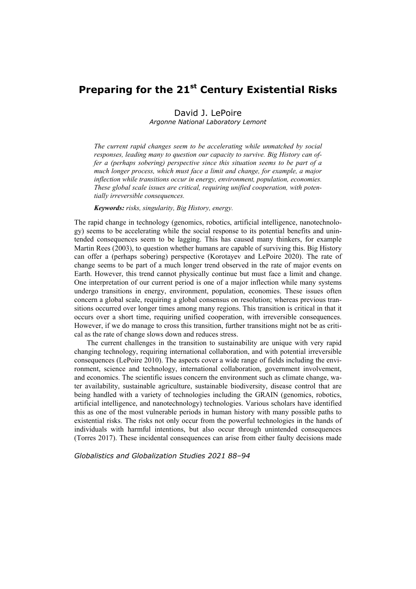# **Preparing for the 21st Century Existential Risks**

## David J. LePoire *Argonne National Laboratory Lemont*

*The current rapid changes seem to be accelerating while unmatched by social responses, leading many to question our capacity to survive. Big History can offer a (perhaps sobering) perspective since this situation seems to be part of a much longer process, which must face a limit and change, for example, a major inflection while transitions occur in energy, environment, population, economies. These global scale issues are critical, requiring unified cooperation, with potentially irreversible consequences.* 

*Keywords: risks, singularity, Big History, energy.* 

The rapid change in technology (genomics, robotics, artificial intelligence, nanotechnology) seems to be accelerating while the social response to its potential benefits and unintended consequences seem to be lagging. This has caused many thinkers, for example Martin Rees (2003), to question whether humans are capable of surviving this. Big History can offer a (perhaps sobering) perspective (Korotayev and LePoire 2020). The rate of change seems to be part of a much longer trend observed in the rate of major events on Earth. However, this trend cannot physically continue but must face a limit and change. One interpretation of our current period is one of a major inflection while many systems undergo transitions in energy, environment, population, economies. These issues often concern a global scale, requiring a global consensus on resolution; whereas previous transitions occurred over longer times among many regions. This transition is critical in that it occurs over a short time, requiring unified cooperation, with irreversible consequences. However, if we do manage to cross this transition, further transitions might not be as critical as the rate of change slows down and reduces stress.

The current challenges in the transition to sustainability are unique with very rapid changing technology, requiring international collaboration, and with potential irreversible consequences (LePoire 2010). The aspects cover a wide range of fields including the environment, science and technology, international collaboration, government involvement, and economics. The scientific issues concern the environment such as climate change, water availability, sustainable agriculture, sustainable biodiversity, disease control that are being handled with a variety of technologies including the GRAIN (genomics, robotics, artificial intelligence, and nanotechnology) technologies. Various scholars have identified this as one of the most vulnerable periods in human history with many possible paths to existential risks. The risks not only occur from the powerful technologies in the hands of individuals with harmful intentions, but also occur through unintended consequences (Torres 2017). These incidental consequences can arise from either faulty decisions made

*Globalistics and Globalization Studies 2021 88–94*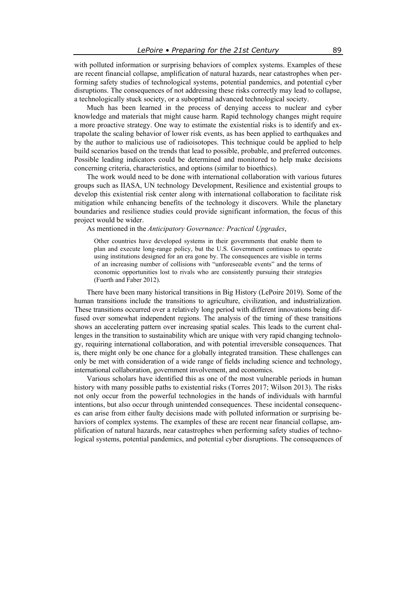with polluted information or surprising behaviors of complex systems. Examples of these are recent financial collapse, amplification of natural hazards, near catastrophes when performing safety studies of technological systems, potential pandemics, and potential cyber disruptions. The consequences of not addressing these risks correctly may lead to collapse, a technologically stuck society, or a suboptimal advanced technological society.

Much has been learned in the process of denying access to nuclear and cyber knowledge and materials that might cause harm. Rapid technology changes might require a more proactive strategy. One way to estimate the existential risks is to identify and extrapolate the scaling behavior of lower risk events, as has been applied to earthquakes and by the author to malicious use of radioisotopes. This technique could be applied to help build scenarios based on the trends that lead to possible, probable, and preferred outcomes. Possible leading indicators could be determined and monitored to help make decisions concerning criteria, characteristics, and options (similar to bioethics).

The work would need to be done with international collaboration with various futures groups such as IIASA, UN technology Development, Resilience and existential groups to develop this existential risk center along with international collaboration to facilitate risk mitigation while enhancing benefits of the technology it discovers. While the planetary boundaries and resilience studies could provide significant information, the focus of this project would be wider.

As mentioned in the *Anticipatory Governance: Practical Upgrades*,

Other countries have developed systems in their governments that enable them to plan and execute long-range policy, but the U.S. Government continues to operate using institutions designed for an era gone by. The consequences are visible in terms of an increasing number of collisions with "unforeseeable events" and the terms of economic opportunities lost to rivals who are consistently pursuing their strategies (Fuerth and Faber 2012).

There have been many historical transitions in Big History (LePoire 2019). Some of the human transitions include the transitions to agriculture, civilization, and industrialization. These transitions occurred over a relatively long period with different innovations being diffused over somewhat independent regions. The analysis of the timing of these transitions shows an accelerating pattern over increasing spatial scales. This leads to the current challenges in the transition to sustainability which are unique with very rapid changing technology, requiring international collaboration, and with potential irreversible consequences. That is, there might only be one chance for a globally integrated transition. These challenges can only be met with consideration of a wide range of fields including science and technology, international collaboration, government involvement, and economics.

Various scholars have identified this as one of the most vulnerable periods in human history with many possible paths to existential risks (Torres 2017; Wilson 2013). The risks not only occur from the powerful technologies in the hands of individuals with harmful intentions, but also occur through unintended consequences. These incidental consequences can arise from either faulty decisions made with polluted information or surprising behaviors of complex systems. The examples of these are recent near financial collapse, amplification of natural hazards, near catastrophes when performing safety studies of technological systems, potential pandemics, and potential cyber disruptions. The consequences of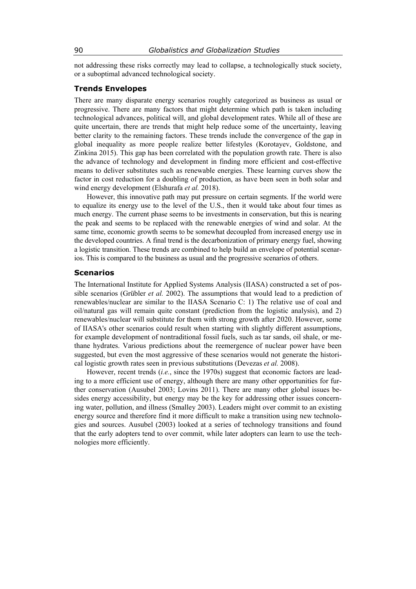not addressing these risks correctly may lead to collapse, a technologically stuck society, or a suboptimal advanced technological society.

## **Trends Envelopes**

There are many disparate energy scenarios roughly categorized as business as usual or progressive. There are many factors that might determine which path is taken including technological advances, political will, and global development rates. While all of these are quite uncertain, there are trends that might help reduce some of the uncertainty, leaving better clarity to the remaining factors. These trends include the convergence of the gap in global inequality as more people realize better lifestyles (Korotayev, Goldstone, and Zinkina 2015). This gap has been correlated with the population growth rate. There is also the advance of technology and development in finding more efficient and cost-effective means to deliver substitutes such as renewable energies. These learning curves show the factor in cost reduction for a doubling of production, as have been seen in both solar and wind energy development (Elshurafa *et al.* 2018).

However, this innovative path may put pressure on certain segments. If the world were to equalize its energy use to the level of the U.S., then it would take about four times as much energy. The current phase seems to be investments in conservation, but this is nearing the peak and seems to be replaced with the renewable energies of wind and solar. At the same time, economic growth seems to be somewhat decoupled from increased energy use in the developed countries. A final trend is the decarbonization of primary energy fuel, showing a logistic transition. These trends are combined to help build an envelope of potential scenarios. This is compared to the business as usual and the progressive scenarios of others.

# **Scenarios**

The International Institute for Applied Systems Analysis (IIASA) constructed a set of possible scenarios (Grübler *et al.* 2002). The assumptions that would lead to a prediction of renewables/nuclear are similar to the IIASA Scenario C: 1) The relative use of coal and oil/natural gas will remain quite constant (prediction from the logistic analysis), and 2) renewables/nuclear will substitute for them with strong growth after 2020. However, some of IIASA's other scenarios could result when starting with slightly different assumptions, for example development of nontraditional fossil fuels, such as tar sands, oil shale, or methane hydrates. Various predictions about the reemergence of nuclear power have been suggested, but even the most aggressive of these scenarios would not generate the historical logistic growth rates seen in previous substitutions (Devezas *et al.* 2008).

However, recent trends (*i.e.*, since the 1970s) suggest that economic factors are leading to a more efficient use of energy, although there are many other opportunities for further conservation (Ausubel 2003; Lovins 2011). There are many other global issues besides energy accessibility, but energy may be the key for addressing other issues concerning water, pollution, and illness (Smalley 2003). Leaders might over commit to an existing energy source and therefore find it more difficult to make a transition using new technologies and sources. Ausubel (2003) looked at a series of technology transitions and found that the early adopters tend to over commit, while later adopters can learn to use the technologies more efficiently.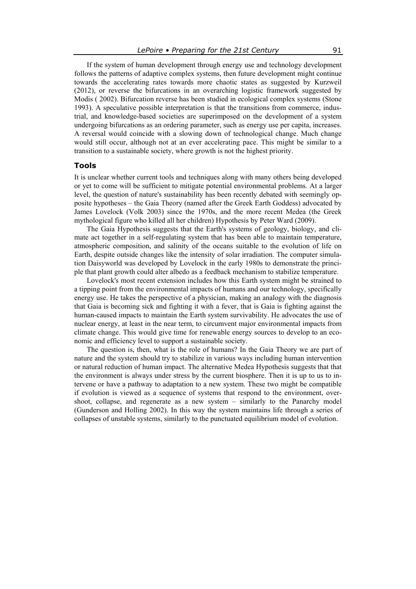If the system of human development through energy use and technology development follows the patterns of adaptive complex systems, then future development might continue towards the accelerating rates towards more chaotic states as suggested by Kurzweil (2012), or reverse the bifurcations in an overarching logistic framework suggested by Modis ( 2002). Bifurcation reverse has been studied in ecological complex systems (Stone 1993). A speculative possible interpretation is that the transitions from commerce, industrial, and knowledge-based societies are superimposed on the development of a system undergoing bifurcations as an ordering parameter, such as energy use per capita, increases. A reversal would coincide with a slowing down of technological change. Much change would still occur, although not at an ever accelerating pace. This might be similar to a transition to a sustainable society, where growth is not the highest priority.

### **Tools**

It is unclear whether current tools and techniques along with many others being developed or yet to come will be sufficient to mitigate potential environmental problems. At a larger level, the question of nature's sustainability has been recently debated with seemingly opposite hypotheses – the Gaia Theory (named after the Greek Earth Goddess) advocated by James Lovelock (Volk 2003) since the 1970s, and the more recent Medea (the Greek mythological figure who killed all her children) Hypothesis by Peter Ward (2009).

The Gaia Hypothesis suggests that the Earth's systems of geology, biology, and climate act together in a self-regulating system that has been able to maintain temperature, atmospheric composition, and salinity of the oceans suitable to the evolution of life on Earth, despite outside changes like the intensity of solar irradiation. The computer simulation Daisyworld was developed by Lovelock in the early 1980s to demonstrate the principle that plant growth could alter albedo as a feedback mechanism to stabilize temperature.

Lovelock's most recent extension includes how this Earth system might be strained to a tipping point from the environmental impacts of humans and our technology, specifically energy use. He takes the perspective of a physician, making an analogy with the diagnosis that Gaia is becoming sick and fighting it with a fever, that is Gaia is fighting against the human-caused impacts to maintain the Earth system survivability. He advocates the use of nuclear energy, at least in the near term, to circumvent major environmental impacts from climate change. This would give time for renewable energy sources to develop to an economic and efficiency level to support a sustainable society.

The question is, then, what is the role of humans? In the Gaia Theory we are part of nature and the system should try to stabilize in various ways including human intervention or natural reduction of human impact. The alternative Medea Hypothesis suggests that that the environment is always under stress by the current biosphere. Then it is up to us to intervene or have a pathway to adaptation to a new system. These two might be compatible if evolution is viewed as a sequence of systems that respond to the environment, overshoot, collapse, and regenerate as a new system – similarly to the Panarchy model (Gunderson and Holling 2002). In this way the system maintains life through a series of collapses of unstable systems, similarly to the punctuated equilibrium model of evolution.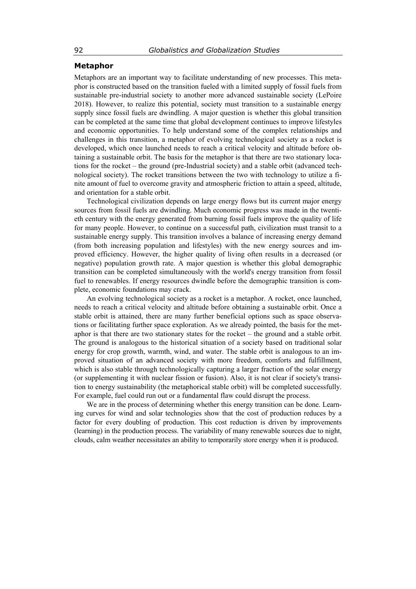## **Metaphor**

Metaphors are an important way to facilitate understanding of new processes. This metaphor is constructed based on the transition fueled with a limited supply of fossil fuels from sustainable pre-industrial society to another more advanced sustainable society (LePoire 2018). However, to realize this potential, society must transition to a sustainable energy supply since fossil fuels are dwindling. A major question is whether this global transition can be completed at the same time that global development continues to improve lifestyles and economic opportunities. To help understand some of the complex relationships and challenges in this transition, a metaphor of evolving technological society as a rocket is developed, which once launched needs to reach a critical velocity and altitude before obtaining a sustainable orbit. The basis for the metaphor is that there are two stationary locations for the rocket – the ground (pre-Industrial society) and a stable orbit (advanced technological society). The rocket transitions between the two with technology to utilize a finite amount of fuel to overcome gravity and atmospheric friction to attain a speed, altitude, and orientation for a stable orbit.

Technological civilization depends on large energy flows but its current major energy sources from fossil fuels are dwindling. Much economic progress was made in the twentieth century with the energy generated from burning fossil fuels improve the quality of life for many people. However, to continue on a successful path, civilization must transit to a sustainable energy supply. This transition involves a balance of increasing energy demand (from both increasing population and lifestyles) with the new energy sources and improved efficiency. However, the higher quality of living often results in a decreased (or negative) population growth rate. A major question is whether this global demographic transition can be completed simultaneously with the world's energy transition from fossil fuel to renewables. If energy resources dwindle before the demographic transition is complete, economic foundations may crack.

An evolving technological society as a rocket is a metaphor. A rocket, once launched, needs to reach a critical velocity and altitude before obtaining a sustainable orbit. Once a stable orbit is attained, there are many further beneficial options such as space observations or facilitating further space exploration. As we already pointed, the basis for the metaphor is that there are two stationary states for the rocket – the ground and a stable orbit. The ground is analogous to the historical situation of a society based on traditional solar energy for crop growth, warmth, wind, and water. The stable orbit is analogous to an improved situation of an advanced society with more freedom, comforts and fulfillment, which is also stable through technologically capturing a larger fraction of the solar energy (or supplementing it with nuclear fission or fusion). Also, it is not clear if society's transition to energy sustainability (the metaphorical stable orbit) will be completed successfully. For example, fuel could run out or a fundamental flaw could disrupt the process.

We are in the process of determining whether this energy transition can be done. Learning curves for wind and solar technologies show that the cost of production reduces by a factor for every doubling of production. This cost reduction is driven by improvements (learning) in the production process. The variability of many renewable sources due to night, clouds, calm weather necessitates an ability to temporarily store energy when it is produced.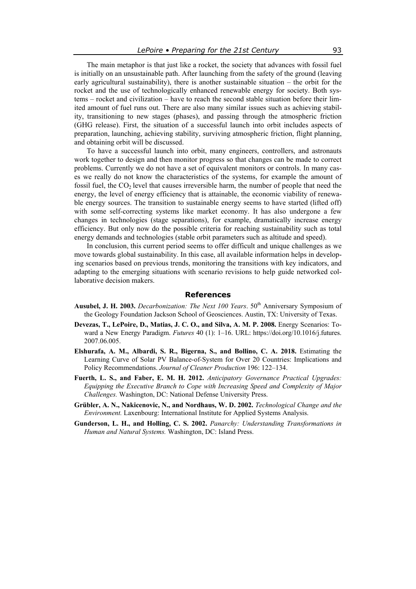The main metaphor is that just like a rocket, the society that advances with fossil fuel is initially on an unsustainable path. After launching from the safety of the ground (leaving early agricultural sustainability), there is another sustainable situation – the orbit for the rocket and the use of technologically enhanced renewable energy for society. Both systems – rocket and civilization – have to reach the second stable situation before their limited amount of fuel runs out. There are also many similar issues such as achieving stability, transitioning to new stages (phases), and passing through the atmospheric friction (GHG release). First, the situation of a successful launch into orbit includes aspects of preparation, launching, achieving stability, surviving atmospheric friction, flight planning, and obtaining orbit will be discussed.

To have a successful launch into orbit, many engineers, controllers, and astronauts work together to design and then monitor progress so that changes can be made to correct problems. Currently we do not have a set of equivalent monitors or controls. In many cases we really do not know the characteristics of the systems, for example the amount of fossil fuel, the  $CO<sub>2</sub>$  level that causes irreversible harm, the number of people that need the energy, the level of energy efficiency that is attainable, the economic viability of renewable energy sources. The transition to sustainable energy seems to have started (lifted off) with some self-correcting systems like market economy. It has also undergone a few changes in technologies (stage separations), for example, dramatically increase energy efficiency. But only now do the possible criteria for reaching sustainability such as total energy demands and technologies (stable orbit parameters such as altitude and speed).

In conclusion, this current period seems to offer difficult and unique challenges as we move towards global sustainability. In this case, all available information helps in developing scenarios based on previous trends, monitoring the transitions with key indicators, and adapting to the emerging situations with scenario revisions to help guide networked collaborative decision makers.

### **References**

- Ausubel, J. H. 2003. *Decarbonization: The Next 100 Years*. 50<sup>th</sup> Anniversary Symposium of the Geology Foundation Jackson School of Geosciences. Austin, TX: University of Texas.
- **Devezas, T., LePoire, D., Matias, J. C. O., and Silva, A. M. P. 2008.** Energy Scenarios: Toward a New Energy Paradigm. *Futures* 40 (1): 1–16. URL: https://doi.org/10.1016/j.futures. 2007.06.005.
- **Elshurafa, A. M., Albardi, S. R., Bigerna, S., and Bollino, C. A. 2018.** Estimating the Learning Curve of Solar PV Balance-of-System for Over 20 Countries: Implications and Policy Recommendations. *Journal of Cleaner Production* 196: 122–134.
- **Fuerth, L. S., and Faber, E. M. H. 2012.** *Anticipatory Governance Practical Upgrades: Equipping the Executive Branch to Cope with Increasing Speed and Complexity of Major Challenges.* Washington, DC: National Defense University Press.
- **Grübler, A. N., Nakicenovic, N., and Nordhaus, W. D. 2002.** *Technological Change and the Environment.* Laxenbourg: International Institute for Applied Systems Analysis.
- **Gunderson, L. H., and Holling, C. S. 2002.** *Panarchy: Understanding Transformations in Human and Natural Systems.* Washington, DC: Island Press.